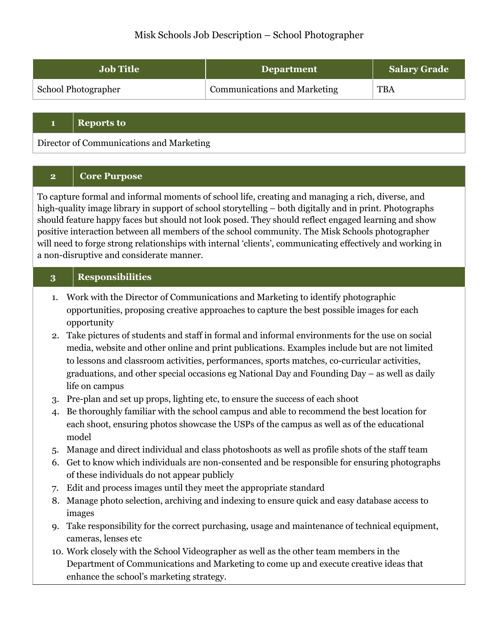# Misk Schools Job Description – School Photographer

| <b>Job Title</b>    | <b>Department</b>                   | <b>Salary Grade</b> |
|---------------------|-------------------------------------|---------------------|
| School Photographer | <b>Communications and Marketing</b> | <b>TBA</b>          |

#### **1 Reports to**

Director of Communications and Marketing

### **2 Core Purpose**

To capture formal and informal moments of school life, creating and managing a rich, diverse, and high-quality image library in support of school storytelling – both digitally and in print. Photographs should feature happy faces but should not look posed. They should reflect engaged learning and show positive interaction between all members of the school community. The Misk Schools photographer will need to forge strong relationships with internal 'clients', communicating effectively and working in a non-disruptive and considerate manner.

### **3 Responsibilities**

- 1. Work with the Director of Communications and Marketing to identify photographic opportunities, proposing creative approaches to capture the best possible images for each opportunity
- 2. Take pictures of students and staff in formal and informal environments for the use on social media, website and other online and print publications. Examples include but are not limited to lessons and classroom activities, performances, sports matches, co-curricular activities, graduations, and other special occasions eg National Day and Founding Day – as well as daily life on campus
- 3. Pre-plan and set up props, lighting etc, to ensure the success of each shoot
- 4. Be thoroughly familiar with the school campus and able to recommend the best location for each shoot, ensuring photos showcase the USPs of the campus as well as of the educational model
- 5. Manage and direct individual and class photoshoots as well as profile shots of the staff team
- 6. Get to know which individuals are non-consented and be responsible for ensuring photographs of these individuals do not appear publicly
- 7. Edit and process images until they meet the appropriate standard
- 8. Manage photo selection, archiving and indexing to ensure quick and easy database access to images
- 9. Take responsibility for the correct purchasing, usage and maintenance of technical equipment, cameras, lenses etc
- 10. Work closely with the School Videographer as well as the other team members in the Department of Communications and Marketing to come up and execute creative ideas that enhance the school's marketing strategy.